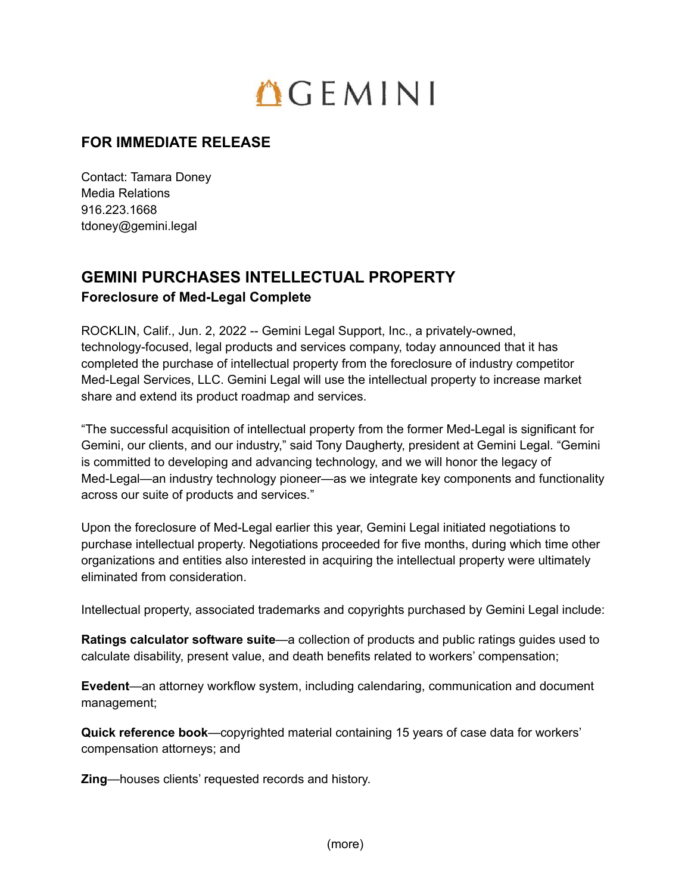## $OCHN1$

## **FOR IMMEDIATE RELEASE**

Contact: Tamara Doney Media Relations 916.223.1668 tdoney@gemini.legal

## **GEMINI PURCHASES INTELLECTUAL PROPERTY Foreclosure of Med-Legal Complete**

ROCKLIN, Calif., Jun. 2, 2022 -- Gemini Legal Support, Inc., a privately-owned, technology-focused, legal products and services company, today announced that it has completed the purchase of intellectual property from the foreclosure of industry competitor Med-Legal Services, LLC. Gemini Legal will use the intellectual property to increase market share and extend its product roadmap and services.

"The successful acquisition of intellectual property from the former Med-Legal is significant for Gemini, our clients, and our industry," said Tony Daugherty, president at Gemini Legal. "Gemini is committed to developing and advancing technology, and we will honor the legacy of Med-Legal—an industry technology pioneer—as we integrate key components and functionality across our suite of products and services."

Upon the foreclosure of Med-Legal earlier this year, Gemini Legal initiated negotiations to purchase intellectual property. Negotiations proceeded for five months, during which time other organizations and entities also interested in acquiring the intellectual property were ultimately eliminated from consideration.

Intellectual property, associated trademarks and copyrights purchased by Gemini Legal include:

**Ratings calculator software suite**—a collection of products and public ratings guides used to calculate disability, present value, and death benefits related to workers' compensation;

**Evedent**—an attorney workflow system, including calendaring, communication and document management;

**Quick reference book**—copyrighted material containing 15 years of case data for workers' compensation attorneys; and

**Zing**—houses clients' requested records and history.